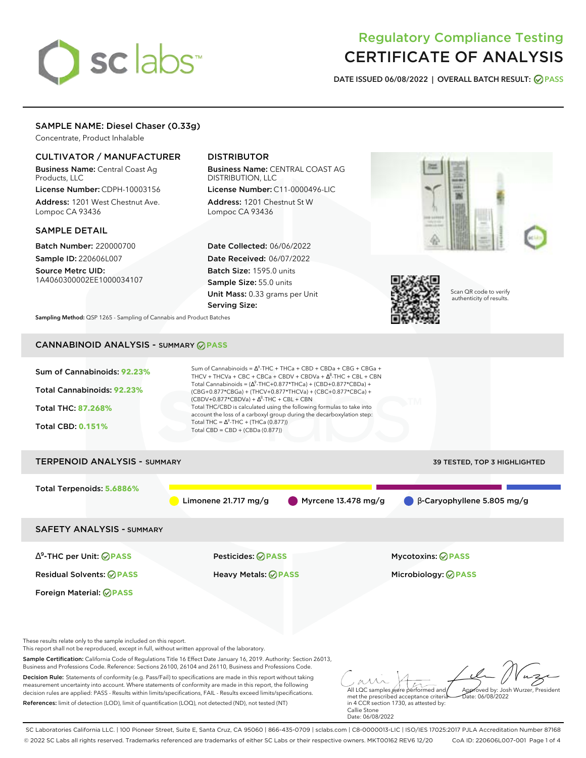# sclabs<sup>\*</sup>

## Regulatory Compliance Testing CERTIFICATE OF ANALYSIS

**DATE ISSUED 06/08/2022 | OVERALL BATCH RESULT: PASS**

#### SAMPLE NAME: Diesel Chaser (0.33g)

Concentrate, Product Inhalable

#### CULTIVATOR / MANUFACTURER

Business Name: Central Coast Ag Products, LLC

License Number: CDPH-10003156 Address: 1201 West Chestnut Ave. Lompoc CA 93436

#### SAMPLE DETAIL

Batch Number: 220000700 Sample ID: 220606L007

Source Metrc UID: 1A4060300002EE1000034107

#### DISTRIBUTOR

Business Name: CENTRAL COAST AG DISTRIBUTION, LLC License Number: C11-0000496-LIC

Address: 1201 Chestnut St W Lompoc CA 93436

Date Collected: 06/06/2022 Date Received: 06/07/2022 Batch Size: 1595.0 units Sample Size: 55.0 units Unit Mass: 0.33 grams per Unit Serving Size:





Scan QR code to verify authenticity of results.

**Sampling Method:** QSP 1265 - Sampling of Cannabis and Product Batches

## CANNABINOID ANALYSIS - SUMMARY **PASS**

| Sum of Cannabinoids: 92.23%<br>Total Cannabinoids: 92.23%<br>Total THC: 87.268%<br><b>Total CBD: 0.151%</b> | Sum of Cannabinoids = $\Delta^9$ -THC + THCa + CBD + CBDa + CBG + CBGa +<br>THCV + THCVa + CBC + CBCa + CBDV + CBDVa + $\Delta^8$ -THC + CBL + CBN<br>Total Cannabinoids = $(\Delta^9$ -THC+0.877*THCa) + (CBD+0.877*CBDa) +<br>(CBG+0.877*CBGa) + (THCV+0.877*THCVa) + (CBC+0.877*CBCa) +<br>$(CBDV+0.877*CBDVa) + \Delta^8$ -THC + CBL + CBN<br>Total THC/CBD is calculated using the following formulas to take into<br>account the loss of a carboxyl group during the decarboxylation step:<br>Total THC = $\Delta^9$ -THC + (THCa (0.877))<br>Total CBD = CBD + (CBDa $(0.877)$ ) |                                              |  |  |  |  |
|-------------------------------------------------------------------------------------------------------------|-----------------------------------------------------------------------------------------------------------------------------------------------------------------------------------------------------------------------------------------------------------------------------------------------------------------------------------------------------------------------------------------------------------------------------------------------------------------------------------------------------------------------------------------------------------------------------------------|----------------------------------------------|--|--|--|--|
| <b>TERPENOID ANALYSIS - SUMMARY</b><br>39 TESTED, TOP 3 HIGHLIGHTED                                         |                                                                                                                                                                                                                                                                                                                                                                                                                                                                                                                                                                                         |                                              |  |  |  |  |
| Total Terpenoids: 5.6886%                                                                                   | Limonene $21.717$ mg/g<br>Myrcene $13.478$ mg/g                                                                                                                                                                                                                                                                                                                                                                                                                                                                                                                                         | $\bigcirc$ $\beta$ -Caryophyllene 5.805 mg/g |  |  |  |  |
| <b>SAFETY ANALYSIS - SUMMARY</b>                                                                            |                                                                                                                                                                                                                                                                                                                                                                                                                                                                                                                                                                                         |                                              |  |  |  |  |
| $\Delta^9$ -THC per Unit: $\bigcirc$ PASS                                                                   | <b>Pesticides: ⊘ PASS</b>                                                                                                                                                                                                                                                                                                                                                                                                                                                                                                                                                               | <b>Mycotoxins: ⊘PASS</b>                     |  |  |  |  |
| <b>Residual Solvents: ⊘PASS</b>                                                                             | <b>Heavy Metals: ⊘ PASS</b>                                                                                                                                                                                                                                                                                                                                                                                                                                                                                                                                                             |                                              |  |  |  |  |
| Foreign Material: <b>⊘ PASS</b>                                                                             |                                                                                                                                                                                                                                                                                                                                                                                                                                                                                                                                                                                         |                                              |  |  |  |  |

These results relate only to the sample included on this report.

This report shall not be reproduced, except in full, without written approval of the laboratory.

Sample Certification: California Code of Regulations Title 16 Effect Date January 16, 2019. Authority: Section 26013, Business and Professions Code. Reference: Sections 26100, 26104 and 26110, Business and Professions Code.

Decision Rule: Statements of conformity (e.g. Pass/Fail) to specifications are made in this report without taking measurement uncertainty into account. Where statements of conformity are made in this report, the following decision rules are applied: PASS - Results within limits/specifications, FAIL - Results exceed limits/specifications. References: limit of detection (LOD), limit of quantification (LOQ), not detected (ND), not tested (NT)

All LQC samples were performed and met the prescribed acceptance criteria Approved by: Josh Wurzer, President  $hat: 06/08/2022$ 

in 4 CCR section 1730, as attested by: Callie Stone Date: 06/08/2022

SC Laboratories California LLC. | 100 Pioneer Street, Suite E, Santa Cruz, CA 95060 | 866-435-0709 | sclabs.com | C8-0000013-LIC | ISO/IES 17025:2017 PJLA Accreditation Number 87168 © 2022 SC Labs all rights reserved. Trademarks referenced are trademarks of either SC Labs or their respective owners. MKT00162 REV6 12/20 CoA ID: 220606L007-001 Page 1 of 4